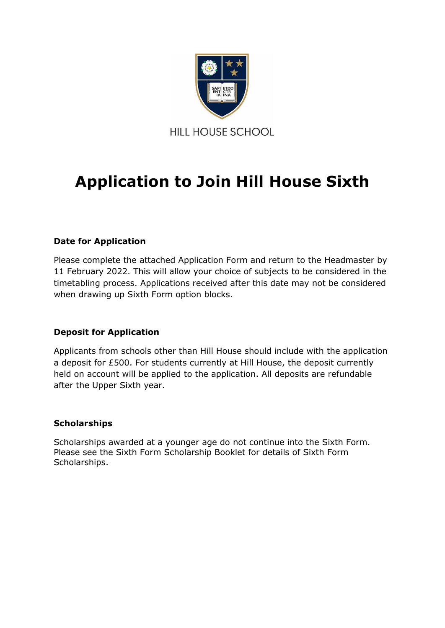

# **Application to Join Hill House Sixth**

# **Date for Application**

Please complete the attached Application Form and return to the Headmaster by 11 February 2022. This will allow your choice of subjects to be considered in the timetabling process. Applications received after this date may not be considered when drawing up Sixth Form option blocks.

## **Deposit for Application**

Applicants from schools other than Hill House should include with the application a deposit for £500. For students currently at Hill House, the deposit currently held on account will be applied to the application. All deposits are refundable after the Upper Sixth year.

### **Scholarships**

Scholarships awarded at a younger age do not continue into the Sixth Form. Please see the Sixth Form Scholarship Booklet for details of Sixth Form Scholarships.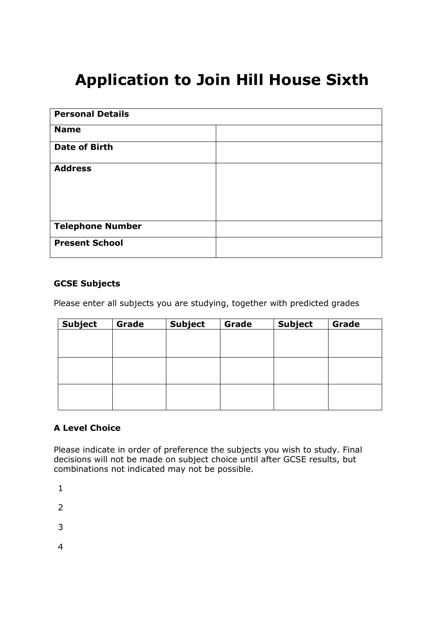# **Application to Join Hill House Sixth**

| <b>Personal Details</b> |  |
|-------------------------|--|
| <b>Name</b>             |  |
| <b>Date of Birth</b>    |  |
| <b>Address</b>          |  |
| <b>Telephone Number</b> |  |
| <b>Present School</b>   |  |

### **GCSE Subjects**

Please enter all subjects you are studying, together with predicted grades

| <b>Subject</b> | Grade | <b>Subject</b> | Grade | <b>Subject</b> | Grade |
|----------------|-------|----------------|-------|----------------|-------|
|                |       |                |       |                |       |
|                |       |                |       |                |       |
|                |       |                |       |                |       |
|                |       |                |       |                |       |
|                |       |                |       |                |       |
|                |       |                |       |                |       |
|                |       |                |       |                |       |
|                |       |                |       |                |       |

## **A Level Choice**

Please indicate in order of preference the subjects you wish to study. Final decisions will not be made on subject choice until after GCSE results, but combinations not indicated may not be possible.

1

2

3

4